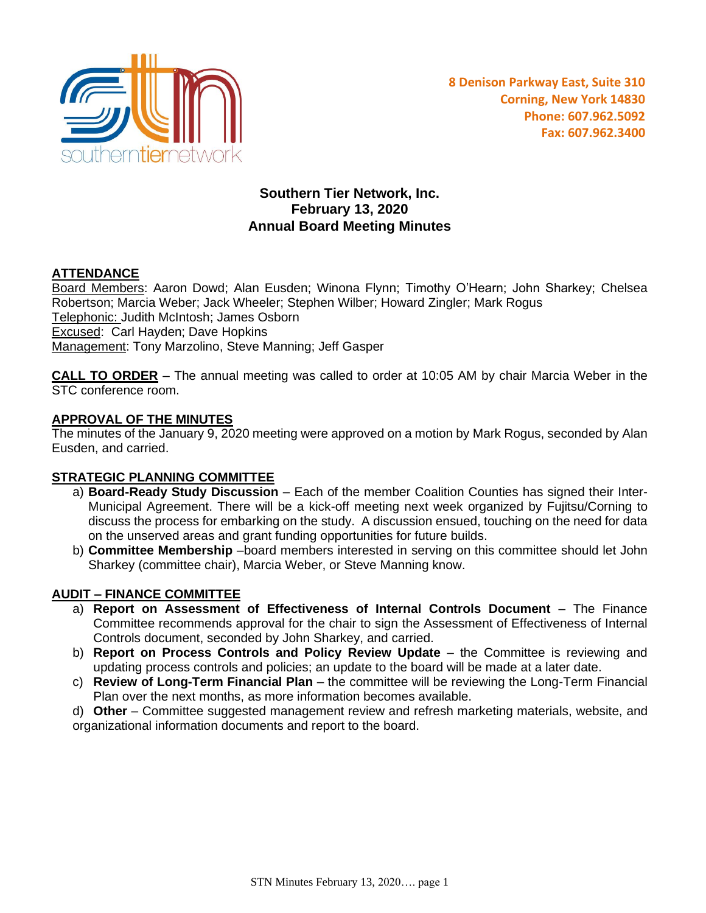

# **Southern Tier Network, Inc. February 13, 2020 Annual Board Meeting Minutes**

# **ATTENDANCE**

Board Members: Aaron Dowd; Alan Eusden; Winona Flynn; Timothy O'Hearn; John Sharkey; Chelsea Robertson; Marcia Weber; Jack Wheeler; Stephen Wilber; Howard Zingler; Mark Rogus Telephonic: Judith McIntosh; James Osborn Excused: Carl Hayden; Dave Hopkins Management: Tony Marzolino, Steve Manning; Jeff Gasper

**CALL TO ORDER** – The annual meeting was called to order at 10:05 AM by chair Marcia Weber in the STC conference room.

#### **APPROVAL OF THE MINUTES**

The minutes of the January 9, 2020 meeting were approved on a motion by Mark Rogus, seconded by Alan Eusden, and carried.

### **STRATEGIC PLANNING COMMITTEE**

- a) **Board-Ready Study Discussion** Each of the member Coalition Counties has signed their Inter-Municipal Agreement. There will be a kick-off meeting next week organized by Fujitsu/Corning to discuss the process for embarking on the study. A discussion ensued, touching on the need for data on the unserved areas and grant funding opportunities for future builds.
- b) **Committee Membership** –board members interested in serving on this committee should let John Sharkey (committee chair), Marcia Weber, or Steve Manning know.

### **AUDIT – FINANCE COMMITTEE**

- a) **Report on Assessment of Effectiveness of Internal Controls Document** The Finance Committee recommends approval for the chair to sign the Assessment of Effectiveness of Internal Controls document, seconded by John Sharkey, and carried.
- b) **Report on Process Controls and Policy Review Update** the Committee is reviewing and updating process controls and policies; an update to the board will be made at a later date.
- c) **Review of Long-Term Financial Plan**  the committee will be reviewing the Long-Term Financial Plan over the next months, as more information becomes available.
- d) **Other** Committee suggested management review and refresh marketing materials, website, and organizational information documents and report to the board.